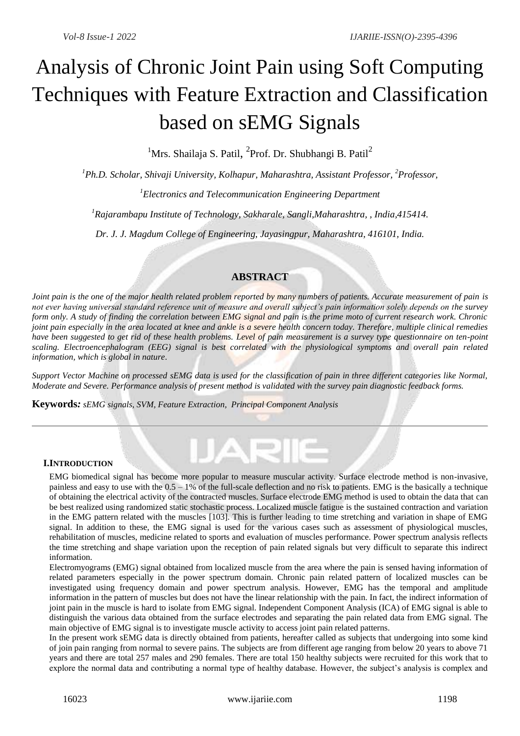# Analysis of Chronic Joint Pain using Soft Computing Techniques with Feature Extraction and Classification based on sEMG Signals

<sup>1</sup>Mrs. Shailaja S. Patil, <sup>2</sup>Prof. Dr. Shubhangi B. Patil<sup>2</sup>

*<sup>1</sup>Ph.D. Scholar, Shivaji University, Kolhapur, Maharashtra, Assistant Professor, <sup>2</sup>Professor,*

*<sup>1</sup>Electronics and Telecommunication Engineering Department*

*<sup>1</sup>Rajarambapu Institute of Technology, Sakharale, Sangli,Maharashtra, , India,415414.*

*Dr. J. J. Magdum College of Engineering, Jayasingpur, Maharashtra, 416101, India.*

## **ABSTRACT**

*Joint pain is the one of the major health related problem reported by many numbers of patients. Accurate measurement of pain is not ever having universal standard reference unit of measure and overall subject's pain information solely depends on the survey form only. A study of finding the correlation between EMG signal and pain is the prime moto of current research work. Chronic joint pain especially in the area located at knee and ankle is a severe health concern today. Therefore, multiple clinical remedies have been suggested to get rid of these health problems. Level of pain measurement is a survey type questionnaire on ten-point scaling. Electroencephalogram (EEG) signal is best correlated with the physiological symptoms and overall pain related information, which is global in nature.*

*Support Vector Machine on processed sEMG data is used for the classification of pain in three different categories like Normal, Moderate and Severe. Performance analysis of present method is validated with the survey pain diagnostic feedback forms.*

**Keywords***: sEMG signals, SVM, Feature Extraction, Principal Component Analysis*

#### **I.INTRODUCTION**

EMG biomedical signal has become more popular to measure muscular activity. Surface electrode method is non-invasive, painless and easy to use with the 0.5 – 1% of the full-scale deflection and no risk to patients. EMG is the basically a technique of obtaining the electrical activity of the contracted muscles. Surface electrode EMG method is used to obtain the data that can be best realized using randomized static stochastic process. Localized muscle fatigue is the sustained contraction and variation in the EMG pattern related with the muscles [103]. This is further leading to time stretching and variation in shape of EMG signal. In addition to these, the EMG signal is used for the various cases such as assessment of physiological muscles, rehabilitation of muscles, medicine related to sports and evaluation of muscles performance. Power spectrum analysis reflects the time stretching and shape variation upon the reception of pain related signals but very difficult to separate this indirect information.

Electromyograms (EMG) signal obtained from localized muscle from the area where the pain is sensed having information of related parameters especially in the power spectrum domain. Chronic pain related pattern of localized muscles can be investigated using frequency domain and power spectrum analysis. However, EMG has the temporal and amplitude information in the pattern of muscles but does not have the linear relationship with the pain. In fact, the indirect information of joint pain in the muscle is hard to isolate from EMG signal. Independent Component Analysis (ICA) of EMG signal is able to distinguish the various data obtained from the surface electrodes and separating the pain related data from EMG signal. The main objective of EMG signal is to investigate muscle activity to access joint pain related patterns.

In the present work sEMG data is directly obtained from patients, hereafter called as subjects that undergoing into some kind of join pain ranging from normal to severe pains. The subjects are from different age ranging from below 20 years to above 71 years and there are total 257 males and 290 females. There are total 150 healthy subjects were recruited for this work that to explore the normal data and contributing a normal type of healthy database. However, the subject's analysis is complex and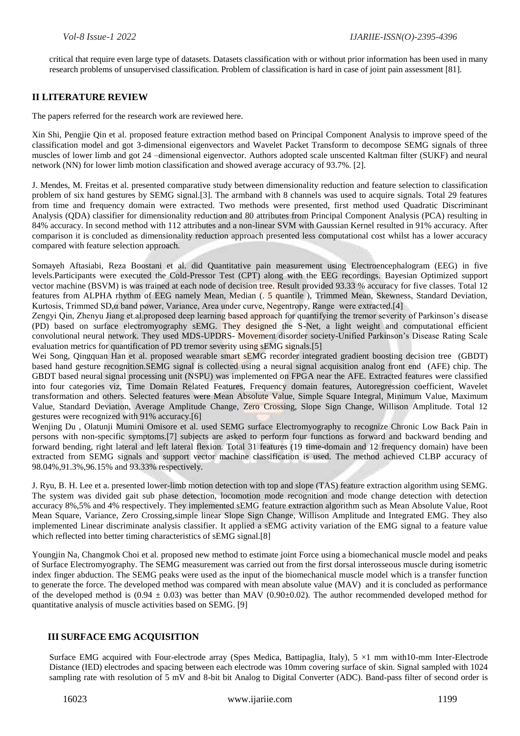critical that require even large type of datasets. Datasets classification with or without prior information has been used in many research problems of unsupervised classification. Problem of classification is hard in case of joint pain assessment [81].

#### **II LITERATURE REVIEW**

The papers referred for the research work are reviewed here.

Xin Shi, Pengjie Qin et al. proposed feature extraction method based on Principal Component Analysis to improve speed of the classification model and got 3-dimensional eigenvectors and Wavelet Packet Transform to decompose SEMG signals of three muscles of lower limb and got 24 –dimensional eigenvector. Authors adopted scale unscented Kaltman filter (SUKF) and neural network (NN) for lower limb motion classification and showed average accuracy of 93.7%. [2].

J. Mendes, M. Freitas et al. presented comparative study between dimensionality reduction and feature selection to classification problem of six hand gestures by SEMG signal.[3]. The armband with 8 channels was used to acquire signals. Total 29 features from time and frequency domain were extracted. Two methods were presented, first method used Quadratic Discriminant Analysis (QDA) classifier for dimensionality reduction and 80 attributes from Principal Component Analysis (PCA) resulting in 84% accuracy. In second method with 112 attributes and a non-linear SVM with Gaussian Kernel resulted in 91% accuracy. After comparison it is concluded as dimensionality reduction approach presented less computational cost whilst has a lower accuracy compared with feature selection approach.

Somayeh Aftasiabi, Reza Boostani et al. did Quantitative pain measurement using Electroencephalogram (EEG) in five levels.Participants were executed the Cold-Pressor Test (CPT) along with the EEG recordings. Bayesian Optimized support vector machine (BSVM) is was trained at each node of decision tree. Result provided 93.33 % accuracy for five classes. Total 12 features from ALPHA rhythm of EEG namely Mean, Median (. 5 quantile ), Trimmed Mean, Skewness, Standard Deviation, Kurtosis, Trimmed SD,α band power, Variance, Area under curve, Negentropy, Range were extracted.[4]

Zengyi Qin, Zhenyu Jiang et.al.proposed deep learning based approach for quantifying the tremor severity of Parkinson's disease (PD) based on surface electromyography sEMG. They designed the S-Net, a light weight and computational efficient convolutional neural network. They used MDS-UPDRS- Movement disorder society-Unified Parkinson's Disease Rating Scale evaluation metrics for quantification of PD tremor severity using sEMG signals.[5]

Wei Song, Qingquan Han et al. proposed wearable smart sEMG recorder integrated gradient boosting decision tree (GBDT) based hand gesture recognition.SEMG signal is collected using a neural signal acquisition analog front end (AFE) chip. The GBDT based neural signal processing unit (NSPU) was implemented on FPGA near the AFE. Extracted features were classified into four categories viz, Time Domain Related Features, Frequency domain features, Autoregression coefficient, Wavelet transformation and others. Selected features were Mean Absolute Value, Simple Square Integral, Minimum Value, Maximum Value, Standard Deviation, Average Amplitude Change, Zero Crossing, Slope Sign Change, Willison Amplitude. Total 12 gestures were recognized with 91% accuracy.[6]

Wenjing Du , Olatunji Mumini Omisore et al. used SEMG surface Electromyography to recognize Chronic Low Back Pain in persons with non-specific symptoms.[7] subjects are asked to perform four functions as forward and backward bending and forward bending, right lateral and left lateral flexion. Total 31 features (19 time-domain and 12 frequency domain) have been extracted from SEMG signals and support vector machine classification is used. The method achieved CLBP accuracy of 98.04%,91.3%,96.15% and 93.33% respectively.

J. Ryu, B. H. Lee et a. presented lower-limb motion detection with top and slope (TAS) feature extraction algorithm using SEMG. The system was divided gait sub phase detection, locomotion mode recognition and mode change detection with detection accuracy 8%,5% and 4% respectively. They implemented sEMG feature extraction algorithm such as Mean Absolute Value, Root Mean Square, Variance, Zero Crossing,simple linear Slope Sign Change, Willison Amplitude and Integrated EMG. They also implemented Linear discriminate analysis classifier. It applied a sEMG activity variation of the EMG signal to a feature value which reflected into better timing characteristics of sEMG signal.<sup>[8]</sup>

Youngjin Na, Changmok Choi et al. proposed new method to estimate joint Force using a biomechanical muscle model and peaks of Surface Electromyography. The SEMG measurement was carried out from the first dorsal interosseous muscle during isometric index finger abduction. The SEMG peaks were used as the input of the biomechanical muscle model which is a transfer function to generate the force. The developed method was compared with mean absolute value (MAV) and it is concluded as performance of the developed method is  $(0.94 \pm 0.03)$  was better than MAV  $(0.90\pm0.02)$ . The author recommended developed method for quantitative analysis of muscle activities based on SEMG. [9]

#### **III SURFACE EMG ACQUISITION**

Surface EMG acquired with Four-electrode array (Spes Medica, Battipaglia, Italy),  $5 \times 1$  mm with10-mm Inter-Electrode Distance (IED) electrodes and spacing between each electrode was 10mm covering surface of skin. Signal sampled with 1024 sampling rate with resolution of 5 mV and 8-bit bit Analog to Digital Converter (ADC). Band-pass filter of second order is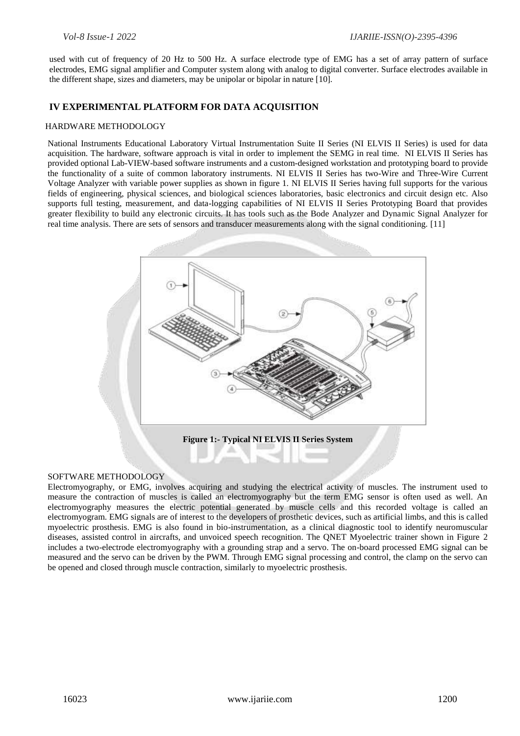used with cut of frequency of 20 Hz to 500 Hz. A surface electrode type of EMG has a set of array pattern of surface electrodes, EMG signal amplifier and Computer system along with analog to digital converter. Surface electrodes available in the different shape, sizes and diameters, may be unipolar or bipolar in nature [10].

#### **IV EXPERIMENTAL PLATFORM FOR DATA ACQUISITION**

#### HARDWARE METHODOLOGY

National Instruments Educational Laboratory Virtual Instrumentation Suite II Series (NI ELVIS II Series) is used for data acquisition. The hardware, software approach is vital in order to implement the SEMG in real time. NI ELVIS II Series has provided optional Lab-VIEW-based software instruments and a custom-designed workstation and prototyping board to provide the functionality of a suite of common laboratory instruments. NI ELVIS II Series has two-Wire and Three-Wire Current Voltage Analyzer with variable power supplies as shown in figure 1. NI ELVIS II Series having full supports for the various fields of engineering, physical sciences, and biological sciences laboratories, basic electronics and circuit design etc. Also supports full testing, measurement, and data-logging capabilities of NI ELVIS II Series Prototyping Board that provides greater flexibility to build any electronic circuits. It has tools such as the Bode Analyzer and Dynamic Signal Analyzer for real time analysis. There are sets of sensors and transducer measurements along with the signal conditioning. [11]



#### SOFTWARE METHODOLOGY

Electromyography, or EMG, involves acquiring and studying the electrical activity of muscles. The instrument used to measure the contraction of muscles is called an electromyography but the term EMG sensor is often used as well. An electromyography measures the electric potential generated by muscle cells and this recorded voltage is called an electromyogram. EMG signals are of interest to the developers of prosthetic devices, such as artificial limbs, and this is called myoelectric prosthesis. EMG is also found in bio-instrumentation, as a clinical diagnostic tool to identify neuromuscular diseases, assisted control in aircrafts, and unvoiced speech recognition. The QNET Myoelectric trainer shown in Figure 2 includes a two-electrode electromyography with a grounding strap and a servo. The on-board processed EMG signal can be measured and the servo can be driven by the PWM. Through EMG signal processing and control, the clamp on the servo can be opened and closed through muscle contraction, similarly to myoelectric prosthesis.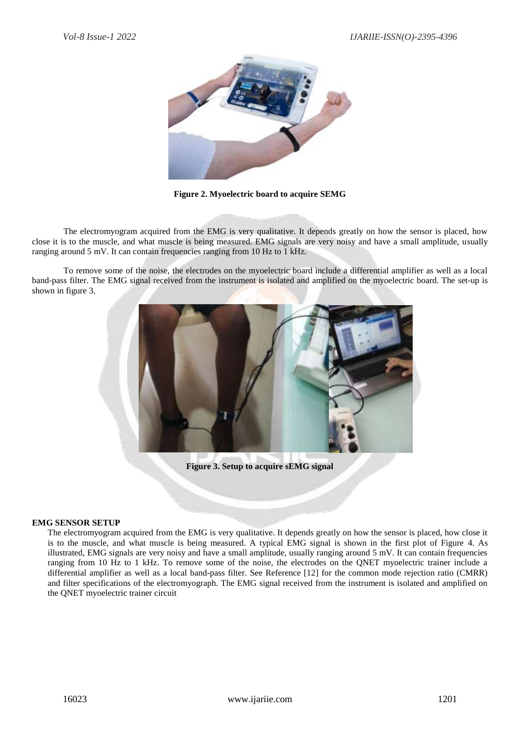

**Figure 2. Myoelectric board to acquire SEMG**

The electromyogram acquired from the EMG is very qualitative. It depends greatly on how the sensor is placed, how close it is to the muscle, and what muscle is being measured. EMG signals are very noisy and have a small amplitude, usually ranging around 5 mV. It can contain frequencies ranging from 10 Hz to 1 kHz.

To remove some of the noise, the electrodes on the myoelectric board include a differential amplifier as well as a local band-pass filter. The EMG signal received from the instrument is isolated and amplified on the myoelectric board. The set-up is shown in figure 3.



#### **EMG SENSOR SETUP**

The electromyogram acquired from the EMG is very qualitative. It depends greatly on how the sensor is placed, how close it is to the muscle, and what muscle is being measured. A typical EMG signal is shown in the first plot of Figure 4. As illustrated, EMG signals are very noisy and have a small amplitude, usually ranging around  $5 \text{ mV}$ . It can contain frequencies ranging from 10 Hz to 1 kHz. To remove some of the noise, the electrodes on the QNET myoelectric trainer include a differential amplifier as well as a local band-pass filter. See Reference [12] for the common mode rejection ratio (CMRR) and filter specifications of the electromyograph. The EMG signal received from the instrument is isolated and amplified on the QNET myoelectric trainer circuit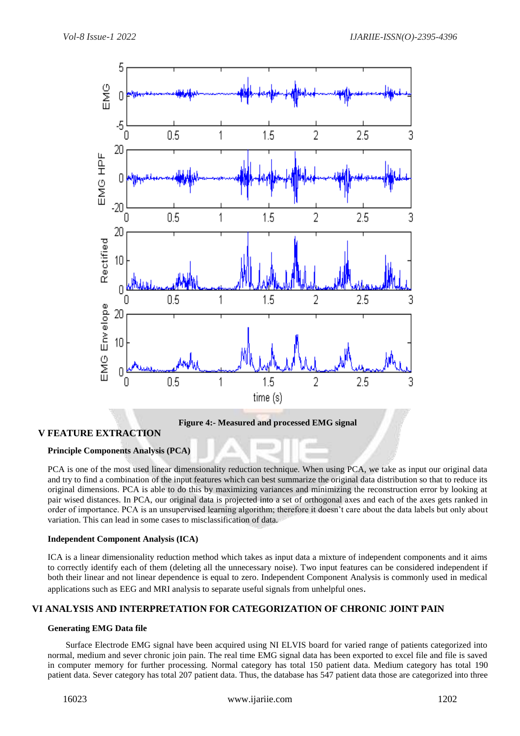

**Figure 4:- Measured and processed EMG signal**

### **V FEATURE EXTRACTION**

#### **Principle Components Analysis (PCA)**

PCA is one of the most used linear dimensionality reduction technique. When using PCA, we take as input our original data and try to find a combination of the input features which can best summarize the original data distribution so that to reduce its original dimensions. PCA is able to do this by maximizing variances and minimizing the reconstruction error by looking at pair wised distances. In PCA, our original data is projected into a set of orthogonal axes and each of the axes gets ranked in order of importance. PCA is an unsupervised learning algorithm; therefore it doesn't care about the data labels but only about variation. This can lead in some cases to misclassification of data.

#### **Independent Component Analysis (ICA)**

ICA is a linear dimensionality reduction method which takes as input data a mixture of independent components and it aims to correctly identify each of them (deleting all the unnecessary noise). Two input features can be considered independent if both their linear and not linear dependence is equal to zero. Independent Component Analysis is commonly used in medical applications such as EEG and MRI analysis to separate useful signals from unhelpful ones.

#### **VI ANALYSIS AND INTERPRETATION FOR CATEGORIZATION OF CHRONIC JOINT PAIN**

#### **Generating EMG Data file**

Surface Electrode EMG signal have been acquired using NI ELVIS board for varied range of patients categorized into normal, medium and sever chronic join pain. The real time EMG signal data has been exported to excel file and file is saved in computer memory for further processing. Normal category has total 150 patient data. Medium category has total 190 patient data. Sever category has total 207 patient data. Thus, the database has 547 patient data those are categorized into three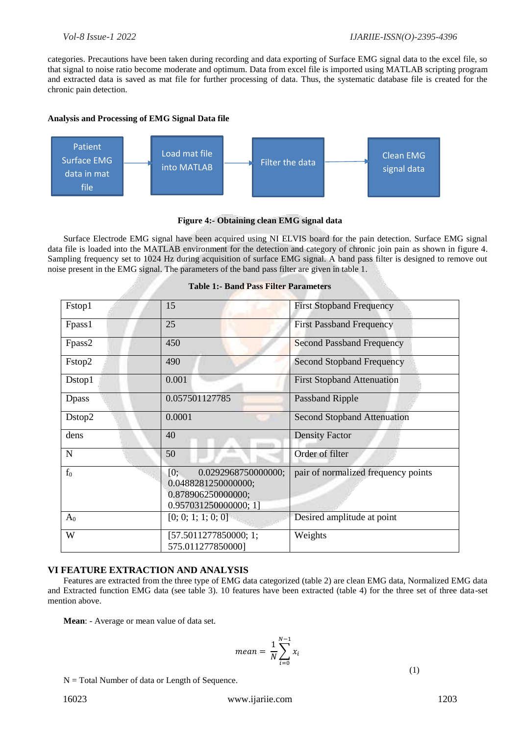categories. Precautions have been taken during recording and data exporting of Surface EMG signal data to the excel file, so that signal to noise ratio become moderate and optimum. Data from excel file is imported using MATLAB scripting program and extracted data is saved as mat file for further processing of data. Thus, the systematic database file is created for the chronic pain detection.

#### **Analysis and Processing of EMG Signal Data file**



#### **Figure 4:- Obtaining clean EMG signal data**

Surface Electrode EMG signal have been acquired using NI ELVIS board for the pain detection. Surface EMG signal data file is loaded into the MATLAB environment for the detection and category of chronic join pain as shown in figure 4. Sampling frequency set to 1024 Hz during acquisition of surface EMG signal. A band pass filter is designed to remove out noise present in the EMG signal. The parameters of the band pass filter are given in table 1.

| Fstop1       | 15                                                                                               | <b>First Stopband Frequency</b>     |
|--------------|--------------------------------------------------------------------------------------------------|-------------------------------------|
| Fpass1       | 25                                                                                               | <b>First Passband Frequency</b>     |
| Fpass2       | 450                                                                                              | <b>Second Passband Frequency</b>    |
| Fstop2       | 490                                                                                              | <b>Second Stopband Frequency</b>    |
| Dstop1       | 0.001                                                                                            | <b>First Stopband Attenuation</b>   |
| <b>Dpass</b> | 0.057501127785                                                                                   | <b>Passband Ripple</b>              |
| Dstop2       | 0.0001                                                                                           | <b>Second Stopband Attenuation</b>  |
| dens         | 40                                                                                               | <b>Density Factor</b>               |
| $\mathbf N$  | 50                                                                                               | Order of filter                     |
| $f_0$        | 0.0292968750000000;<br>[0;<br>0.0488281250000000;<br>0.878906250000000;<br>0.957031250000000; 1] | pair of normalized frequency points |
| $A_0$        | [0; 0; 1; 1; 0; 0]                                                                               | Desired amplitude at point          |
| W            | [57.5011277850000; 1;<br>575.011277850000]                                                       | Weights                             |

#### **Table 1:- Band Pass Filter Parameters**

#### **VI FEATURE EXTRACTION AND ANALYSIS**

Features are extracted from the three type of EMG data categorized (table 2) are clean EMG data, Normalized EMG data and Extracted function EMG data (see table 3). 10 features have been extracted (table 4) for the three set of three data-set mention above.

**Mean**: - Average or mean value of data set.

$$
mean = \frac{1}{N} \sum_{i=0}^{N-1} x_i
$$
\n(1)

 $N =$  Total Number of data or Length of Sequence.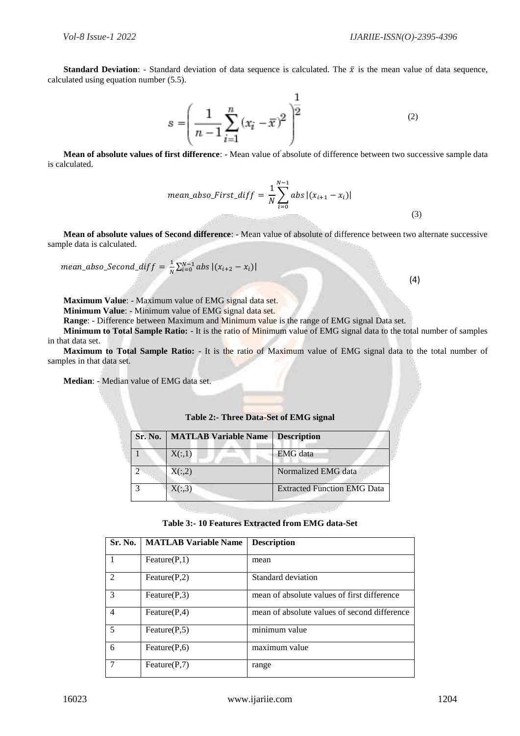(4)

**Standard Deviation:** - Standard deviation of data sequence is calculated. The  $\bar{x}$  is the mean value of data sequence, calculated using equation number (5.5).

$$
s = \left(\frac{1}{n-1} \sum_{i=1}^{n} (x_i - \overline{x})^2\right)^{\frac{1}{2}}
$$
 (2)

**Mean of absolute values of first difference**: - Mean value of absolute of difference between two successive sample data is calculated.

$$
mean\_abso\_First\_diff = \frac{1}{N} \sum_{i=0}^{N-1} abs |(x_{i+1} - x_i)|
$$
\n(3)

**Mean of absolute values of Second difference**: - Mean value of absolute of difference between two alternate successive sample data is calculated.

$$
mean\_abso\_Second\_diff = \frac{1}{N} \sum_{i=0}^{N-1} abs |(x_{i+2} - x_i)|
$$

**Maximum Value**: - Maximum value of EMG signal data set.

**Minimum Value**: - Minimum value of EMG signal data set.

**Range**: - Difference between Maximum and Minimum value is the range of EMG signal Data set.

**Minimum to Total Sample Ratio:** - It is the ratio of Minimum value of EMG signal data to the total number of samples in that data set.

**Maximum to Total Sample Ratio:** - It is the ratio of Maximum value of EMG signal data to the total number of samples in that data set.

**Median**: - Median value of EMG data set.

| <b>Sr. No.   MATLAB Variable Name</b> | Description                        |
|---------------------------------------|------------------------------------|
| X(:,1)                                | <b>EMG</b> data                    |
| X(:, 2)                               | Normalized EMG data                |
| X(:,3)                                | <b>Extracted Function EMG Data</b> |

#### **Table 2:- Three Data-Set of EMG signal**

#### **Table 3:- 10 Features Extracted from EMG data-Set**

| Sr. No.        | <b>MATLAB Variable Name</b> | <b>Description</b>                           |
|----------------|-----------------------------|----------------------------------------------|
|                | Feature $(P,1)$             | mean                                         |
| $\mathfrak{D}$ | Feature $(P,2)$             | Standard deviation                           |
| $\mathcal{E}$  | Feature $(P,3)$             | mean of absolute values of first difference  |
| $\overline{4}$ | Feature $(P,4)$             | mean of absolute values of second difference |
| 5              | Feature $(P, 5)$            | $\overline{\text{minimum}}$ value            |
| 6              | Feature $(P, 6)$            | maximum value                                |
| 7              | Feature $(P,7)$             | range                                        |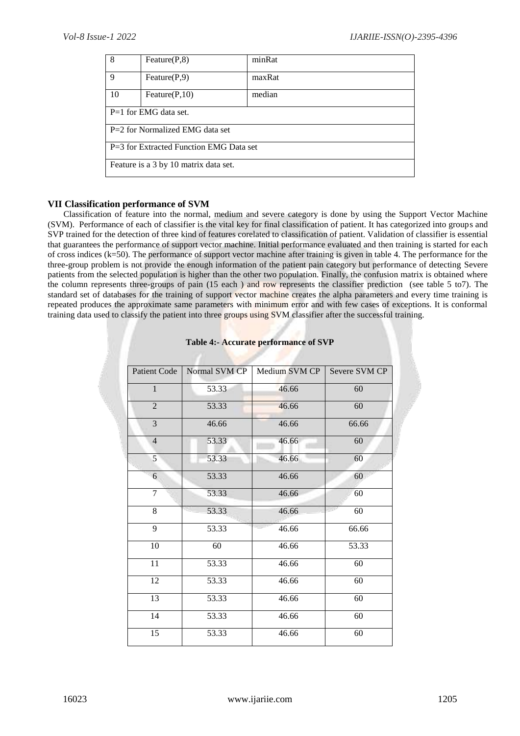| 8                                         | Feature $(P, 8)$                      | minRat |  |  |  |  |
|-------------------------------------------|---------------------------------------|--------|--|--|--|--|
| $\mathbf Q$                               | Feature $(P,9)$                       | maxRat |  |  |  |  |
| 10                                        | Feature $(P,10)$                      | median |  |  |  |  |
|                                           | $P=1$ for EMG data set.               |        |  |  |  |  |
| $P=2$ for Normalized EMG data set         |                                       |        |  |  |  |  |
| $P=3$ for Extracted Function EMG Data set |                                       |        |  |  |  |  |
|                                           | Feature is a 3 by 10 matrix data set. |        |  |  |  |  |

#### **VII Classification performance of SVM**

Classification of feature into the normal, medium and severe category is done by using the Support Vector Machine (SVM). Performance of each of classifier is the vital key for final classification of patient. It has categorized into groups and SVP trained for the detection of three kind of features corelated to classification of patient. Validation of classifier is essential that guarantees the performance of support vector machine. Initial performance evaluated and then training is started for each of cross indices (k=50). The performance of support vector machine after training is given in table 4. The performance for the three-group problem is not provide the enough information of the patient pain category but performance of detecting Severe patients from the selected population is higher than the other two population. Finally, the confusion matrix is obtained where the column represents three-groups of pain (15 each ) and row represents the classifier prediction (see table 5 to7). The standard set of databases for the training of support vector machine creates the alpha parameters and every time training is repeated produces the approximate same parameters with minimum error and with few cases of exceptions. It is conformal training data used to classify the patient into three groups using SVM classifier after the successful training.

| <b>Patient Code</b> | Normal SVM CP | Medium SVM CP | Severe SVM CP |
|---------------------|---------------|---------------|---------------|
| $\mathbf{1}$        | 53.33         | 46.66         | 60            |
| $\overline{2}$      | 53.33         | 46.66         | 60            |
| $\overline{3}$      | 46.66         | 46.66         | 66.66         |
| $\overline{4}$      | 53.33         | 46.66         | 60            |
| 5                   | 53.33         | 46.66         | 60            |
| 6                   | 53.33         | 46.66         | 60            |
| 7<br>53.33          |               | 46.66         | 60            |
| 8                   | 53.33         | 46.66         | 60            |
| 9                   | 53.33         | 46.66         | 66.66         |
| 10                  | 60            | 46.66         | 53.33         |
| 11                  | 53.33         | 46.66         | 60            |
| 12                  | 53.33         | 46.66         | 60            |
| 13<br>53.33         |               | 46.66         | 60            |
| 14                  | 53.33         | 46.66         | 60            |
| 15                  | 53.33         | 46.66         | 60            |

#### **Table 4:- Accurate performance of SVP**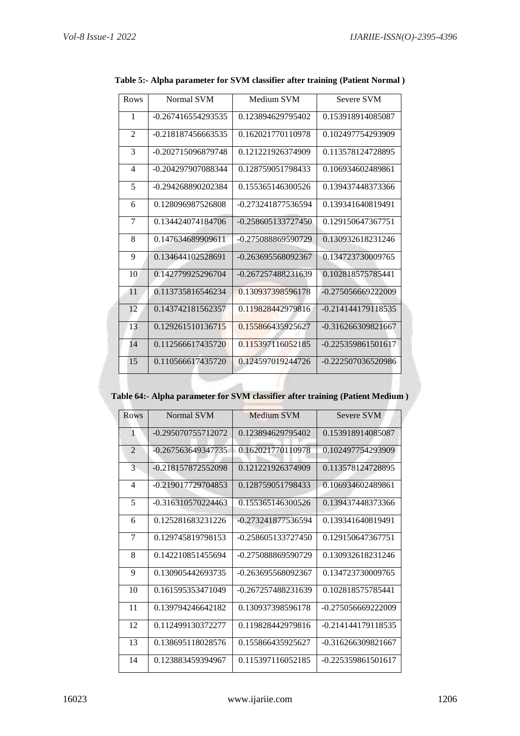| Rows           | Normal SVM           | Medium SVM           | Severe SVM           |
|----------------|----------------------|----------------------|----------------------|
| 1              | $-0.267416554293535$ | 0.123894629795402    | 0.153918914085087    |
| $\overline{2}$ | $-0.218187456663535$ | 0.162021770110978    | 0.102497754293909    |
| 3              | -0.202715096879748   | 0.121221926374909    | 0.113578124728895    |
| 4              | -0.204297907088344   | 0.128759051798433    | 0.106934602489861    |
| 5              | -0.294268890202384   | 0.155365146300526    | 0.139437448373366    |
| 6              | 0.128096987526808    | -0.273241877536594   | 0.139341640819491    |
| $\overline{7}$ | 0.134424074184706    | $-0.258605133727450$ | 0.129150647367751    |
| 8              | 0.147634689909611    | -0.275088869590729   | 0.130932618231246    |
| 9              | 0.134644102528691    | $-0.263695568092367$ | 0.134723730009765    |
| 10             | 0.142779925296704    | -0.267257488231639   | 0.102818575785441    |
| 11             | 0.113735816546234    | 0.130937398596178    | $-0.275056669222009$ |
| 12             | 0.143742181562357    | 0.119828442979816    | $-0.214144179118535$ |
| 13             | 0.129261510136715    | 0.155866435925627    | $-0.316266309821667$ |
| 14             | 0.112566617435720    | 0.115397116052185    | $-0.225359861501617$ |
| 15             | 0.110566617435720    | 0.124597019244726    | -0.222507036520986   |

**Table 5:- Alpha parameter for SVM classifier after training (Patient Normal )**

#### **Table 64:- Alpha parameter for SVM classifier after training (Patient Medium )**

| Rows           | Normal SVM           | Medium SVM         | <b>Severe SVM</b>    |
|----------------|----------------------|--------------------|----------------------|
| 1              | -0.295070755712072   | 0.123894629795402  | 0.153918914085087    |
| $\overline{2}$ | $-0.267563649347735$ | 0.162021770110978  | 0.102497754293909    |
| 3              | -0.218157872552098   | 0.121221926374909  | 0.113578124728895    |
| $\overline{4}$ | -0.219017729704853   | 0.128759051798433  | 0.106934602489861    |
| 5              | $-0.316310570224463$ | 0.155365146300526  | 0.139437448373366    |
| 6              | 0.125281683231226    | -0.273241877536594 | 0.139341640819491    |
| 7              | 0.129745819798153    | -0.258605133727450 | 0.129150647367751    |
| 8              | 0.142210851455694    | -0.275088869590729 | 0.130932618231246    |
| 9              | 0.130905442693735    | -0.263695568092367 | 0.134723730009765    |
| 10             | 0.161595353471049    | -0.267257488231639 | 0.102818575785441    |
| 11             | 0.139794246642182    | 0.130937398596178  | -0.275056669222009   |
| 12             | 0.112499130372277    | 0.119828442979816  | -0.214144179118535   |
| 13             | 0.138695118028576    | 0.155866435925627  | $-0.316266309821667$ |
| 14             | 0.123883459394967    | 0.115397116052185  | -0.225359861501617   |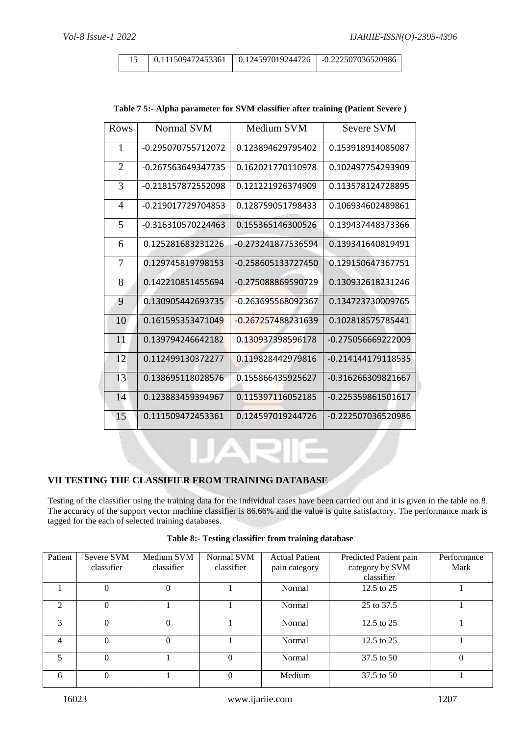| Rows           | Normal SVM           | Medium SVM           | <b>Severe SVM</b>  |
|----------------|----------------------|----------------------|--------------------|
| $\mathbf{1}$   | -0.295070755712072   | 0.123894629795402    | 0.153918914085087  |
| $\overline{2}$ | -0.267563649347735   | 0.162021770110978    | 0.102497754293909  |
| 3              | -0.218157872552098   | 0.121221926374909    | 0.113578124728895  |
| 4              | -0.219017729704853   | 0.128759051798433    | 0.106934602489861  |
| 5              | $-0.316310570224463$ | 0.155365146300526    | 0.139437448373366  |
| 6              | 0.125281683231226    | -0.273241877536594   | 0.139341640819491  |
| 7              | 0.129745819798153    | -0.258605133727450   | 0.129150647367751  |
| 8              | 0.142210851455694    | -0.275088869590729   | 0.130932618231246  |
| 9              | 0.130905442693735    | -0.263695568092367   | 0.134723730009765  |
| 10             | 0.161595353471049    | $-0.267257488231639$ | 0.102818575785441  |
| 11             | 0.139794246642182    | 0.130937398596178    | -0.275056669222009 |
| 12             | 0.112499130372277    | 0.119828442979816    | -0.214144179118535 |
| 13             | 0.138695118028576    | 0.155866435925627    | -0.316266309821667 |
| 14             | 0.123883459394967    | 0.115397116052185    | -0.225359861501617 |
| 15             | 0.111509472453361    | 0.124597019244726    | -0.222507036520986 |

#### **Table 7 5:- Alpha parameter for SVM classifier after training (Patient Severe )**

# **VII TESTING THE CLASSIFIER FROM TRAINING DATABASE**

Testing of the classifier using the training data for the individual cases have been carried out and it is given in the table no.8. The accuracy of the support vector machine classifier is 86.66% and the value is quite satisfactory. The performance mark is tagged for the each of selected training databases.

| Table 8:- Testing classifier from training database |  |  |  |  |  |
|-----------------------------------------------------|--|--|--|--|--|
|-----------------------------------------------------|--|--|--|--|--|

| Patient                     | Severe SVM | Medium SVM | Normal SVM | <b>Actual Patient</b> | Predicted Patient pain | Performance |
|-----------------------------|------------|------------|------------|-----------------------|------------------------|-------------|
|                             | classifier | classifier | classifier | pain category         | category by SVM        | Mark        |
|                             |            |            |            |                       | classifier             |             |
|                             | $\Omega$   | $\Omega$   |            | Normal                | 12.5 to 25             |             |
| $\mathcal{D}_{\mathcal{L}}$ | $\theta$   |            |            | Normal                | 25 to 37.5             |             |
| $\mathcal{F}$               | $\theta$   | $\Omega$   |            | Normal                | 12.5 to 25             |             |
| 4                           | $\Omega$   | $\Omega$   |            | Normal                | 12.5 to $25$           |             |
| $\overline{\mathcal{L}}$    | $\Omega$   |            |            | Normal                | 37.5 to 50             |             |
| 6                           | $\Omega$   |            |            | Medium                | 37.5 to 50             |             |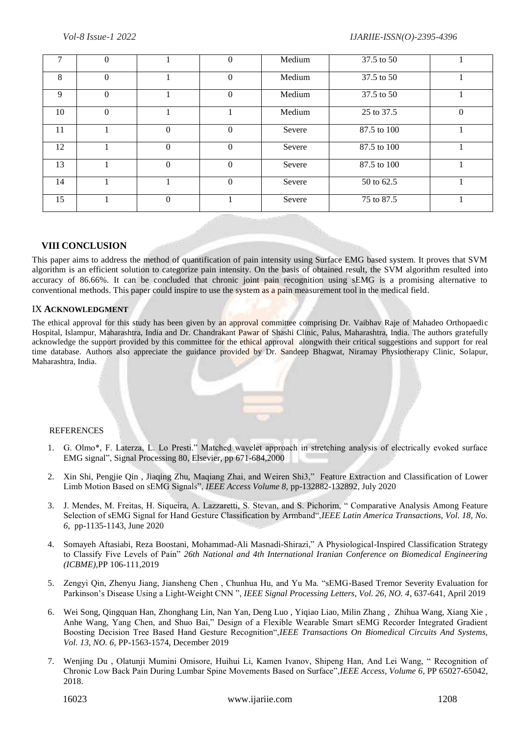|    |          |          | $\Omega$ | Medium | 37.5 to 50  |          |
|----|----------|----------|----------|--------|-------------|----------|
| 8  | $\Omega$ |          | $\Omega$ | Medium | 37.5 to 50  |          |
| 9  | $\Omega$ |          | $\Omega$ | Medium | 37.5 to 50  |          |
| 10 | $\Omega$ |          |          | Medium | 25 to 37.5  | $\Omega$ |
| 11 |          | $\Omega$ | $\Omega$ | Severe | 87.5 to 100 |          |
| 12 |          | 0        | $\Omega$ | Severe | 87.5 to 100 |          |
| 13 |          | $\theta$ | $\Omega$ | Severe | 87.5 to 100 |          |
| 14 |          |          | $\Omega$ | Severe | 50 to 62.5  |          |
| 15 |          | $\Omega$ |          | Severe | 75 to 87.5  |          |

#### **VIII CONCLUSION**

This paper aims to address the method of quantification of pain intensity using Surface EMG based system. It proves that SVM algorithm is an efficient solution to categorize pain intensity. On the basis of obtained result, the SVM algorithm resulted into accuracy of 86.66%. It can be concluded that chronic joint pain recognition using sEMG is a promising alternative to conventional methods. This paper could inspire to use the system as a pain measurement tool in the medical field.

#### IX **ACKNOWLEDGMENT**

The ethical approval for this study has been given by an approval committee comprising Dr. Vaibhav Raje of Mahadeo Orthopaedic Hospital, Islampur, Maharashtra, India and Dr. Chandrakant Pawar of Shashi Clinic, Palus, Maharashtra, India. The authors gratefully acknowledge the support provided by this committee for the ethical approval alongwith their critical suggestions and support for real time database. Authors also appreciate the guidance provided by Dr. Sandeep Bhagwat, Niramay Physiotherapy Clinic, Solapur, Maharashtra, India.

#### REFERENCES

- 1. G. Olmo\*, F. Laterza, L. Lo Presti." Matched wavelet approach in stretching analysis of electrically evoked surface EMG signal", Signal Processing 80, Elsevier, pp 671-684,2000
- 2. Xin Shi, Pengjie Qin , Jiaqing Zhu, Maqiang Zhai, and Weiren Shi3," Feature Extraction and Classification of Lower Limb Motion Based on sEMG Signals", *IEEE Access Volume 8,* pp-132882-132892, July 2020
- 3. J. Mendes, M. Freitas, H. Siqueira, A. Lazzaretti, S. Stevan, and S. Pichorim, " Comparative Analysis Among Feature Selection of sEMG Signal for Hand Gesture Classification by Armband",*IEEE Latin America Transactions, Vol. 18, No. 6*, pp-1135-1143, June 2020
- 4. Somayeh Aftasiabi, Reza Boostani, Mohammad-Ali Masnadi-Shirazi," A Physiological-Inspired Classification Strategy to Classify Five Levels of Pain" *26th National and 4th International Iranian Conference on Biomedical Engineering (ICBME)*,PP 106-111,2019
- 5. Zengyi Qin, Zhenyu Jiang, Jiansheng Chen , Chunhua Hu, and Yu Ma. "sEMG-Based Tremor Severity Evaluation for Parkinson's Disease Using a Light-Weight CNN ", *IEEE Signal Processing Letters, Vol. 26, NO. 4*, 637-641, April 2019
- 6. Wei Song, Qingquan Han, Zhonghang Lin, Nan Yan, Deng Luo , Yiqiao Liao, Milin Zhang , Zhihua Wang, Xiang Xie , Anhe Wang, Yang Chen, and Shuo Bai," Design of a Flexible Wearable Smart sEMG Recorder Integrated Gradient Boosting Decision Tree Based Hand Gesture Recognition",*IEEE Transactions On Biomedical Circuits And Systems, Vol. 13, NO. 6*, PP-1563-1574, December 2019
- 7. Wenjing Du , Olatunji Mumini Omisore, Huihui Li, Kamen Ivanov, Shipeng Han, And Lei Wang, " Recognition of Chronic Low Back Pain During Lumbar Spine Movements Based on Surface",*IEEE Access, Volume 6*, PP 65027-65042, 2018.